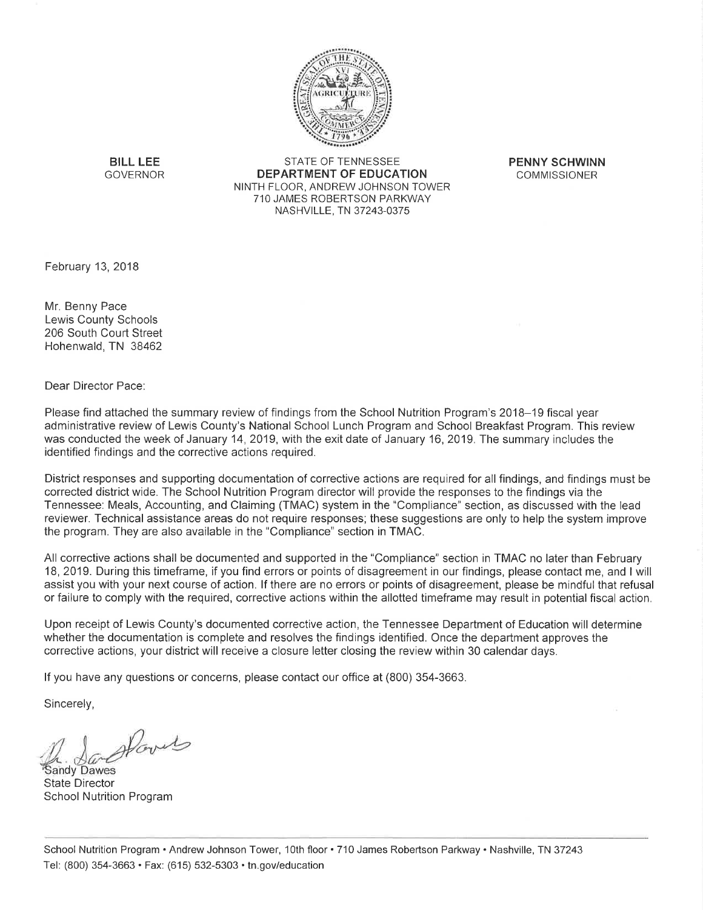

**BILL LEE** GOVERNOR

**STATE OF TENNESSEE DEPARTMENT OF EDUCATION** NINTH FLOOR, ANDREW JOHNSON TOWER 710 JAMES ROBERTSON PARKWAY NASHVILLE, TN 37243-0375

**PENNY SCHWINN COMMISSIONER** 

February 13, 2018

Mr. Benny Pace Lewis County Schools 206 South Court Street Hohenwald, TN 38462

Dear Director Pace:

Please find attached the summary review of findings from the School Nutrition Program's 2018–19 fiscal year administrative review of Lewis County's National School Lunch Program and School Breakfast Program. This review was conducted the week of January 14, 2019, with the exit date of January 16, 2019. The summary includes the identified findings and the corrective actions required.

District responses and supporting documentation of corrective actions are required for all findings, and findings must be corrected district wide. The School Nutrition Program director will provide the responses to the findings via the Tennessee: Meals, Accounting, and Claiming (TMAC) system in the "Compliance" section, as discussed with the lead reviewer. Technical assistance areas do not require responses; these suggestions are only to help the system improve the program. They are also available in the "Compliance" section in TMAC.

All corrective actions shall be documented and supported in the "Compliance" section in TMAC no later than February 18, 2019. During this timeframe, if you find errors or points of disagreement in our findings, please contact me, and I will assist you with your next course of action. If there are no errors or points of disagreement, please be mindful that refusal or failure to comply with the required, corrective actions within the allotted timeframe may result in potential fiscal action.

Upon receipt of Lewis County's documented corrective action, the Tennessee Department of Education will determine whether the documentation is complete and resolves the findings identified. Once the department approves the corrective actions, your district will receive a closure letter closing the review within 30 calendar days.

If you have any questions or concerns, please contact our office at (800) 354-3663.

Sincerely,

Hovet

**Sandy Dawes State Director School Nutrition Program**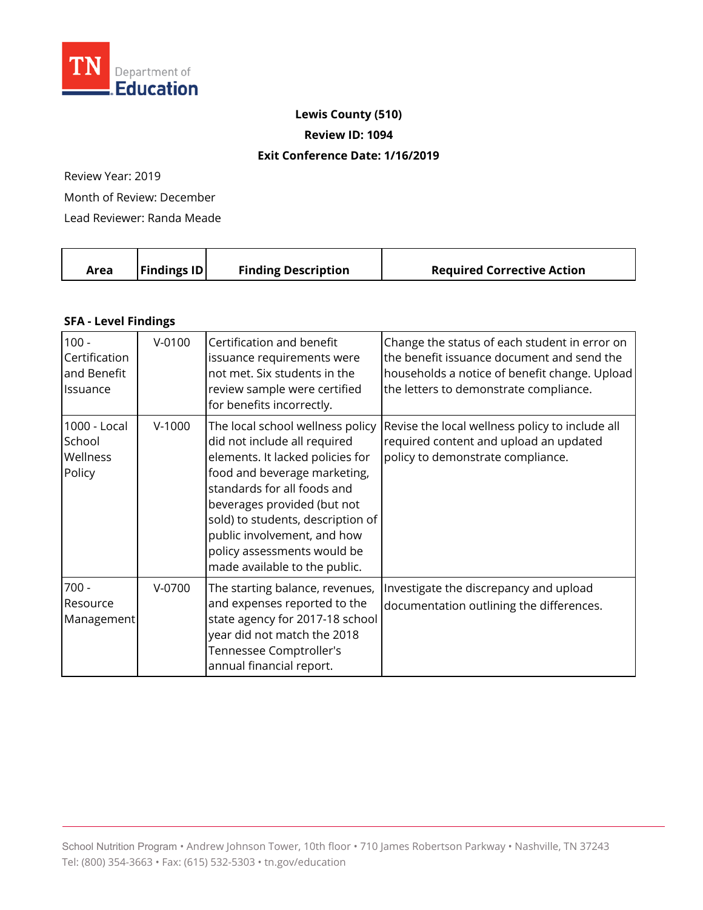

## **Lewis County (510)**

**Review ID: 1094** 

## **Exit Conference Date: 1/16/2019**

Review Year: 2019

Month of Review: December

Lead Reviewer: Randa Meade

|  | $\vert$ Findings ID $\vert$<br>Area | <b>Finding Description</b> | <b>Required Corrective Action</b> |
|--|-------------------------------------|----------------------------|-----------------------------------|
|--|-------------------------------------|----------------------------|-----------------------------------|

## **SFA - Level Findings**

| $100 -$<br>Certification<br>and Benefit<br>Issuance | $V - 0100$ | Certification and benefit<br>issuance requirements were<br>not met. Six students in the<br>review sample were certified<br>for benefits incorrectly.                                                                                                                                                                                   | Change the status of each student in error on<br>the benefit issuance document and send the<br>households a notice of benefit change. Upload<br>the letters to demonstrate compliance. |
|-----------------------------------------------------|------------|----------------------------------------------------------------------------------------------------------------------------------------------------------------------------------------------------------------------------------------------------------------------------------------------------------------------------------------|----------------------------------------------------------------------------------------------------------------------------------------------------------------------------------------|
| 1000 - Local<br>School<br>Wellness<br>Policy        | $V-1000$   | The local school wellness policy<br>did not include all required<br>elements. It lacked policies for<br>food and beverage marketing,<br>standards for all foods and<br>beverages provided (but not<br>sold) to students, description of<br>public involvement, and how<br>policy assessments would be<br>made available to the public. | Revise the local wellness policy to include all<br>required content and upload an updated<br>policy to demonstrate compliance.                                                         |
| $700 -$<br>Resource<br>Management                   | $V-0700$   | The starting balance, revenues,<br>and expenses reported to the<br>state agency for 2017-18 school<br>year did not match the 2018<br>Tennessee Comptroller's<br>annual financial report.                                                                                                                                               | Investigate the discrepancy and upload<br>documentation outlining the differences.                                                                                                     |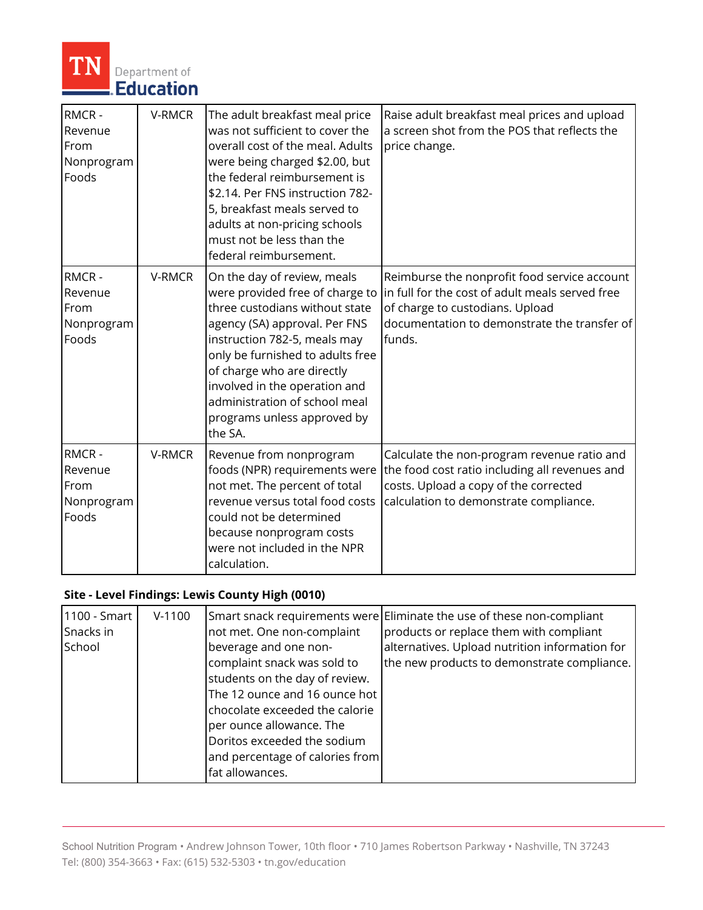

| RMCR-<br>Revenue<br>From<br>Nonprogram<br>Foods | V-RMCR | The adult breakfast meal price<br>was not sufficient to cover the<br>overall cost of the meal. Adults<br>were being charged \$2.00, but<br>the federal reimbursement is<br>\$2.14. Per FNS instruction 782-<br>5, breakfast meals served to                                                                                                     | Raise adult breakfast meal prices and upload<br>a screen shot from the POS that reflects the<br>price change.                                                                                |
|-------------------------------------------------|--------|-------------------------------------------------------------------------------------------------------------------------------------------------------------------------------------------------------------------------------------------------------------------------------------------------------------------------------------------------|----------------------------------------------------------------------------------------------------------------------------------------------------------------------------------------------|
|                                                 |        | adults at non-pricing schools<br>must not be less than the<br>federal reimbursement.                                                                                                                                                                                                                                                            |                                                                                                                                                                                              |
| RMCR-<br>Revenue<br>From<br>Nonprogram<br>Foods | V-RMCR | On the day of review, meals<br>were provided free of charge to<br>three custodians without state<br>agency (SA) approval. Per FNS<br>instruction 782-5, meals may<br>only be furnished to adults free<br>of charge who are directly<br>involved in the operation and<br>administration of school meal<br>programs unless approved by<br>the SA. | Reimburse the nonprofit food service account<br>in full for the cost of adult meals served free<br>of charge to custodians. Upload<br>documentation to demonstrate the transfer of<br>funds. |
| RMCR-<br>Revenue<br>From<br>Nonprogram<br>Foods | V-RMCR | Revenue from nonprogram<br>foods (NPR) requirements were<br>not met. The percent of total<br>revenue versus total food costs<br>could not be determined<br>because nonprogram costs<br>were not included in the NPR<br>calculation.                                                                                                             | Calculate the non-program revenue ratio and<br>the food cost ratio including all revenues and<br>costs. Upload a copy of the corrected<br>calculation to demonstrate compliance.             |

## **Site - Level Findings: Lewis County High (0010)**

| 1100 - Smart<br>Snacks in<br>School | $V-1100$ | not met. One non-complaint<br>beverage and one non-<br>complaint snack was sold to<br>students on the day of review.<br>The 12 ounce and 16 ounce hot<br>chocolate exceeded the calorie<br>per ounce allowance. The<br>Doritos exceeded the sodium<br>and percentage of calories from<br>fat allowances. | Smart snack requirements were Eliminate the use of these non-compliant<br>products or replace them with compliant<br>alternatives. Upload nutrition information for<br>the new products to demonstrate compliance. |
|-------------------------------------|----------|----------------------------------------------------------------------------------------------------------------------------------------------------------------------------------------------------------------------------------------------------------------------------------------------------------|--------------------------------------------------------------------------------------------------------------------------------------------------------------------------------------------------------------------|
|-------------------------------------|----------|----------------------------------------------------------------------------------------------------------------------------------------------------------------------------------------------------------------------------------------------------------------------------------------------------------|--------------------------------------------------------------------------------------------------------------------------------------------------------------------------------------------------------------------|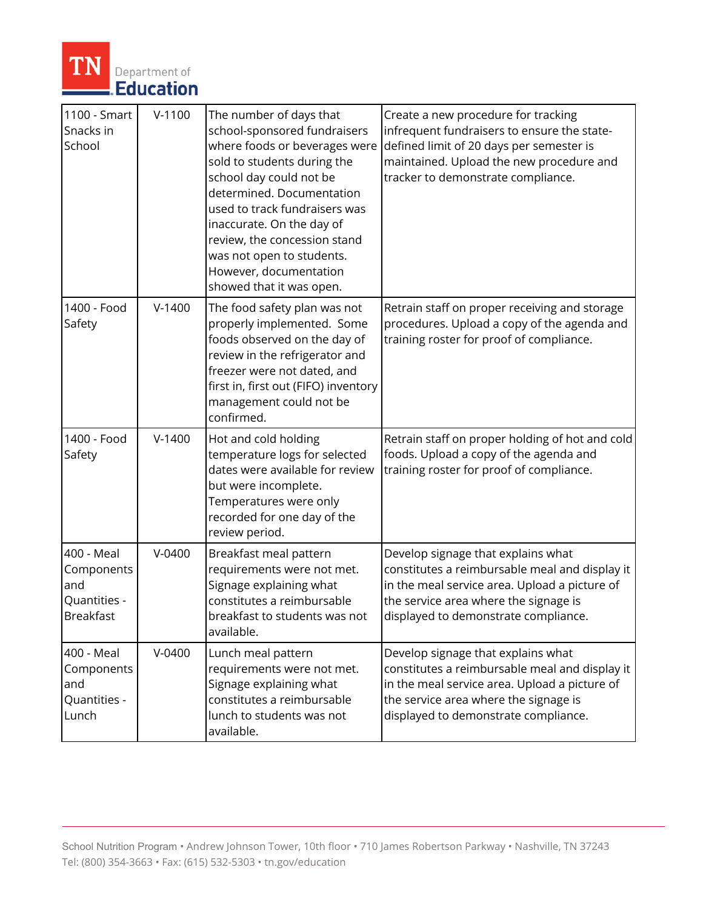

| 1100 - Smart<br>Snacks in<br>School                                 | $V-1100$ | The number of days that<br>school-sponsored fundraisers<br>where foods or beverages were<br>sold to students during the<br>school day could not be<br>determined. Documentation<br>used to track fundraisers was<br>inaccurate. On the day of<br>review, the concession stand<br>was not open to students.<br>However, documentation<br>showed that it was open. | Create a new procedure for tracking<br>infrequent fundraisers to ensure the state-<br>defined limit of 20 days per semester is<br>maintained. Upload the new procedure and<br>tracker to demonstrate compliance.       |
|---------------------------------------------------------------------|----------|------------------------------------------------------------------------------------------------------------------------------------------------------------------------------------------------------------------------------------------------------------------------------------------------------------------------------------------------------------------|------------------------------------------------------------------------------------------------------------------------------------------------------------------------------------------------------------------------|
| 1400 - Food<br>Safety                                               | $V-1400$ | The food safety plan was not<br>properly implemented. Some<br>foods observed on the day of<br>review in the refrigerator and<br>freezer were not dated, and<br>first in, first out (FIFO) inventory<br>management could not be<br>confirmed.                                                                                                                     | Retrain staff on proper receiving and storage<br>procedures. Upload a copy of the agenda and<br>training roster for proof of compliance.                                                                               |
| 1400 - Food<br>Safety                                               | $V-1400$ | Hot and cold holding<br>temperature logs for selected<br>dates were available for review<br>but were incomplete.<br>Temperatures were only<br>recorded for one day of the<br>review period.                                                                                                                                                                      | Retrain staff on proper holding of hot and cold<br>foods. Upload a copy of the agenda and<br>training roster for proof of compliance.                                                                                  |
| 400 - Meal<br>Components<br>and<br>Quantities -<br><b>Breakfast</b> | $V-0400$ | Breakfast meal pattern<br>requirements were not met.<br>Signage explaining what<br>constitutes a reimbursable<br>breakfast to students was not<br>available.                                                                                                                                                                                                     | Develop signage that explains what<br>constitutes a reimbursable meal and display it<br>in the meal service area. Upload a picture of<br>the service area where the signage is<br>displayed to demonstrate compliance. |
| 400 - Meal<br>Components<br>and<br>Quantities -<br>Lunch            | $V-0400$ | Lunch meal pattern<br>requirements were not met.<br>Signage explaining what<br>constitutes a reimbursable<br>lunch to students was not<br>available.                                                                                                                                                                                                             | Develop signage that explains what<br>constitutes a reimbursable meal and display it<br>in the meal service area. Upload a picture of<br>the service area where the signage is<br>displayed to demonstrate compliance. |